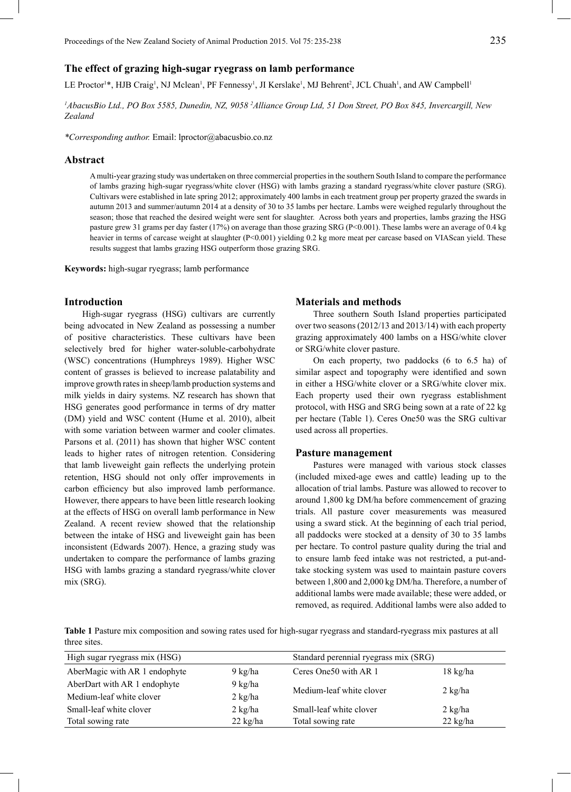# **The effect of grazing high-sugar ryegrass on lamb performance**

LE Proctor<sup>1\*</sup>, HJB Craig<sup>1</sup>, NJ Mclean<sup>1</sup>, PF Fennessy<sup>1</sup>, JI Kerslake<sup>1</sup>, MJ Behrent<sup>2</sup>, JCL Chuah<sup>1</sup>, and AW Campbell<sup>1</sup>

*1 AbacusBio Ltd., PO Box 5585, Dunedin, NZ, 9058 2 Alliance Group Ltd, 51 Don Street, PO Box 845, Invercargill, New Zealand*

*\*Corresponding author.* Email: lproctor@abacusbio.co.nz

## **Abstract**

A multi-year grazing study was undertaken on three commercial properties in the southern South Island to compare the performance of lambs grazing high-sugar ryegrass/white clover (HSG) with lambs grazing a standard ryegrass/white clover pasture (SRG). Cultivars were established in late spring 2012; approximately 400 lambs in each treatment group per property grazed the swards in autumn 2013 and summer/autumn 2014 at a density of 30 to 35 lambs per hectare. Lambs were weighed regularly throughout the season; those that reached the desired weight were sent for slaughter. Across both years and properties, lambs grazing the HSG pasture grew 31 grams per day faster (17%) on average than those grazing SRG (P<0.001). These lambs were an average of 0.4 kg heavier in terms of carcase weight at slaughter (P<0.001) yielding 0.2 kg more meat per carcase based on VIAScan yield. These results suggest that lambs grazing HSG outperform those grazing SRG.

**Keywords:** high-sugar ryegrass; lamb performance

# **Introduction**

High-sugar ryegrass (HSG) cultivars are currently being advocated in New Zealand as possessing a number of positive characteristics. These cultivars have been selectively bred for higher water-soluble-carbohydrate (WSC) concentrations (Humphreys 1989). Higher WSC content of grasses is believed to increase palatability and improve growth rates in sheep/lamb production systems and milk yields in dairy systems. NZ research has shown that HSG generates good performance in terms of dry matter (DM) yield and WSC content (Hume et al. 2010), albeit with some variation between warmer and cooler climates. Parsons et al. (2011) has shown that higher WSC content leads to higher rates of nitrogen retention. Considering that lamb liveweight gain reflects the underlying protein retention, HSG should not only offer improvements in carbon efficiency but also improved lamb performance. However, there appears to have been little research looking at the effects of HSG on overall lamb performance in New Zealand. A recent review showed that the relationship between the intake of HSG and liveweight gain has been inconsistent (Edwards 2007). Hence, a grazing study was undertaken to compare the performance of lambs grazing HSG with lambs grazing a standard ryegrass/white clover mix (SRG).

## **Materials and methods**

Three southern South Island properties participated over two seasons (2012/13 and 2013/14) with each property grazing approximately 400 lambs on a HSG/white clover or SRG/white clover pasture.

On each property, two paddocks (6 to 6.5 ha) of similar aspect and topography were identified and sown in either a HSG/white clover or a SRG/white clover mix. Each property used their own ryegrass establishment protocol, with HSG and SRG being sown at a rate of 22 kg per hectare (Table 1). Ceres One50 was the SRG cultivar used across all properties.

### **Pasture management**

Pastures were managed with various stock classes (included mixed-age ewes and cattle) leading up to the allocation of trial lambs. Pasture was allowed to recover to around 1,800 kg DM/ha before commencement of grazing trials. All pasture cover measurements was measured using a sward stick. At the beginning of each trial period, all paddocks were stocked at a density of 30 to 35 lambs per hectare. To control pasture quality during the trial and to ensure lamb feed intake was not restricted, a put-andtake stocking system was used to maintain pasture covers between 1,800 and 2,000 kg DM/ha. Therefore, a number of additional lambs were made available; these were added, or removed, as required. Additional lambs were also added to

**Table 1** Pasture mix composition and sowing rates used for high-sugar ryegrass and standard-ryegrass mix pastures at all three sites.

| High sugar ryegrass mix (HSG) |                    | Standard perennial ryegrass mix (SRG) |                    |  |
|-------------------------------|--------------------|---------------------------------------|--------------------|--|
| AberMagic with AR 1 endophyte | $9 \text{ kg/ha}$  | Ceres One 50 with AR 1                | $18 \text{ kg/ha}$ |  |
| AberDart with AR 1 endophyte  | 9 kg/ha            | Medium-leaf white clover              | $2 \text{ kg/ha}$  |  |
| Medium-leaf white clover      | $2$ kg/ha          |                                       |                    |  |
| Small-leaf white clover       | $2$ kg/ha          | Small-leaf white clover               | $2 \text{ kg/ha}$  |  |
| Total sowing rate             | $22 \text{ kg/ha}$ | Total sowing rate                     | $22 \text{ kg/ha}$ |  |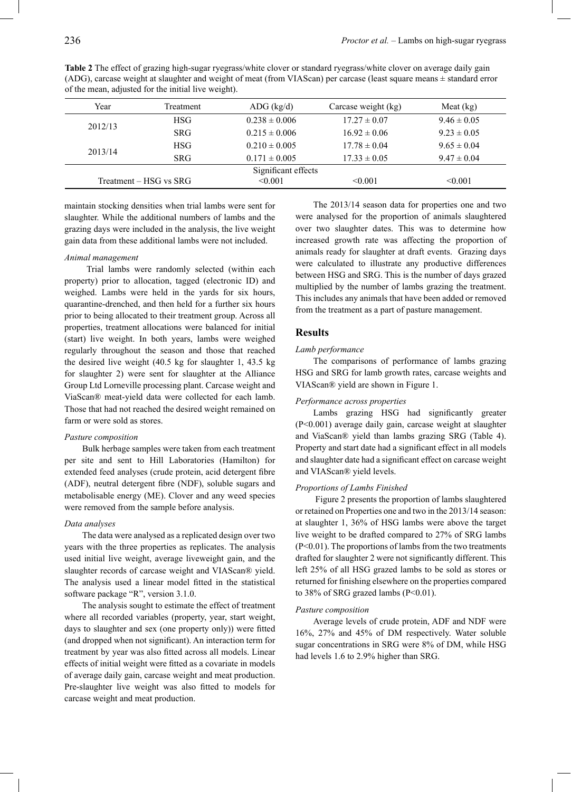| Year                                | Treatment              | $ADG$ (kg/d)        | Carcase weight (kg) | Meat $(kg)$     |
|-------------------------------------|------------------------|---------------------|---------------------|-----------------|
| <b>HSG</b><br>2012/13<br><b>SRG</b> |                        | $0.238 \pm 0.006$   | $17.27 \pm 0.07$    | $9.46 \pm 0.05$ |
|                                     |                        | $0.215 \pm 0.006$   | $16.92 \pm 0.06$    | $9.23 \pm 0.05$ |
| HSG.<br>2013/14<br><b>SRG</b>       |                        | $0.210 \pm 0.005$   | $17.78 \pm 0.04$    | $9.65 \pm 0.04$ |
|                                     | $0.171 \pm 0.005$      | $17.33 \pm 0.05$    | $9.47 \pm 0.04$     |                 |
|                                     |                        | Significant effects |                     |                 |
|                                     | Treatment – HSG vs SRG | < 0.001             | $\leq 0.001$        | $\leq 0.001$    |

**Table 2** The effect of grazing high-sugar ryegrass/white clover or standard ryegrass/white clover on average daily gain (ADG), carcase weight at slaughter and weight of meat (from VIAScan) per carcase (least square means ± standard error of the mean, adjusted for the initial live weight).

maintain stocking densities when trial lambs were sent for slaughter. While the additional numbers of lambs and the grazing days were included in the analysis, the live weight gain data from these additional lambs were not included.

## *Animal management*

 Trial lambs were randomly selected (within each property) prior to allocation, tagged (electronic ID) and weighed. Lambs were held in the yards for six hours, quarantine-drenched, and then held for a further six hours prior to being allocated to their treatment group. Across all properties, treatment allocations were balanced for initial (start) live weight. In both years, lambs were weighed regularly throughout the season and those that reached the desired live weight (40.5 kg for slaughter 1, 43.5 kg for slaughter 2) were sent for slaughter at the Alliance Group Ltd Lorneville processing plant. Carcase weight and ViaScan® meat-yield data were collected for each lamb. Those that had not reached the desired weight remained on farm or were sold as stores.

#### *Pasture composition*

Bulk herbage samples were taken from each treatment per site and sent to Hill Laboratories (Hamilton) for extended feed analyses (crude protein, acid detergent fibre (ADF), neutral detergent fibre (NDF), soluble sugars and metabolisable energy (ME). Clover and any weed species were removed from the sample before analysis.

### *Data analyses*

The data were analysed as a replicated design over two years with the three properties as replicates. The analysis used initial live weight, average liveweight gain, and the slaughter records of carcase weight and VIAScan® yield. The analysis used a linear model fitted in the statistical software package "R", version 3.1.0.

The analysis sought to estimate the effect of treatment where all recorded variables (property, year, start weight, days to slaughter and sex (one property only)) were fitted (and dropped when not significant). An interaction term for treatment by year was also fitted across all models. Linear effects of initial weight were fitted as a covariate in models of average daily gain, carcase weight and meat production. Pre-slaughter live weight was also fitted to models for carcase weight and meat production.

The 2013/14 season data for properties one and two were analysed for the proportion of animals slaughtered over two slaughter dates. This was to determine how increased growth rate was affecting the proportion of animals ready for slaughter at draft events. Grazing days were calculated to illustrate any productive differences between HSG and SRG. This is the number of days grazed multiplied by the number of lambs grazing the treatment. This includes any animals that have been added or removed from the treatment as a part of pasture management.

## **Results**

#### *Lamb performance*

The comparisons of performance of lambs grazing HSG and SRG for lamb growth rates, carcase weights and VIAScan® yield are shown in Figure 1.

### *Performance across properties*

Lambs grazing HSG had significantly greater (P<0.001) average daily gain, carcase weight at slaughter and ViaScan® yield than lambs grazing SRG (Table 4). Property and start date had a significant effect in all models and slaughter date had a significant effect on carcase weight and VIAScan® yield levels.

#### *Proportions of Lambs Finished*

 Figure 2 presents the proportion of lambs slaughtered or retained on Properties one and two in the 2013/14 season: at slaughter 1, 36% of HSG lambs were above the target live weight to be drafted compared to 27% of SRG lambs (P<0.01). The proportions of lambs from the two treatments drafted for slaughter 2 were not significantly different. This left 25% of all HSG grazed lambs to be sold as stores or returned for finishing elsewhere on the properties compared to 38% of SRG grazed lambs  $(P<0.01)$ .

### *Pasture composition*

Average levels of crude protein, ADF and NDF were 16%, 27% and 45% of DM respectively. Water soluble sugar concentrations in SRG were 8% of DM, while HSG had levels 1.6 to 2.9% higher than SRG.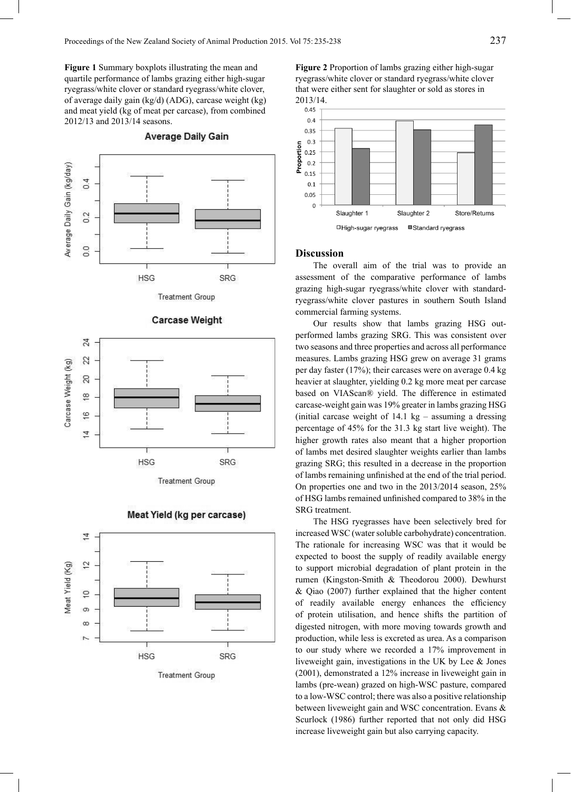**Figure 1** Summary boxplots illustrating the mean and quartile performance of lambs grazing either high-sugar ryegrass/white clover or standard ryegrass/white clover, of average daily gain (kg/d) (ADG), carcase weight (kg) and meat yield (kg of meat per carcase), from combined 2012/13 and 2013/14 seasons.



### **Average Daily Gain**







# Meat Yield (kg per carcase)

**Treatment Group** 

**Figure 2** Proportion of lambs grazing either high-sugar ryegrass/white clover or standard ryegrass/white clover that were either sent for slaughter or sold as stores in



# **Discussion**

The overall aim of the trial was to provide an assessment of the comparative performance of lambs grazing high-sugar ryegrass/white clover with standardryegrass/white clover pastures in southern South Island commercial farming systems.

Our results show that lambs grazing HSG outperformed lambs grazing SRG. This was consistent over two seasons and three properties and across all performance measures. Lambs grazing HSG grew on average 31 grams per day faster (17%); their carcases were on average 0.4 kg heavier at slaughter, yielding 0.2 kg more meat per carcase based on VIAScan® yield. The difference in estimated carcase-weight gain was 19% greater in lambs grazing HSG (initial carcase weight of  $14.1 \text{ kg}$  – assuming a dressing percentage of 45% for the 31.3 kg start live weight). The higher growth rates also meant that a higher proportion of lambs met desired slaughter weights earlier than lambs grazing SRG; this resulted in a decrease in the proportion of lambs remaining unfinished at the end of the trial period. On properties one and two in the 2013/2014 season, 25% of HSG lambs remained unfinished compared to 38% in the SRG treatment.

The HSG ryegrasses have been selectively bred for increased WSC (water soluble carbohydrate) concentration. The rationale for increasing WSC was that it would be expected to boost the supply of readily available energy to support microbial degradation of plant protein in the rumen (Kingston-Smith & Theodorou 2000). Dewhurst & Qiao (2007) further explained that the higher content of readily available energy enhances the efficiency of protein utilisation, and hence shifts the partition of digested nitrogen, with more moving towards growth and production, while less is excreted as urea. As a comparison to our study where we recorded a 17% improvement in liveweight gain, investigations in the UK by Lee & Jones (2001), demonstrated a 12% increase in liveweight gain in lambs (pre-wean) grazed on high-WSC pasture, compared to a low-WSC control; there was also a positive relationship between liveweight gain and WSC concentration. Evans & Scurlock (1986) further reported that not only did HSG increase liveweight gain but also carrying capacity.